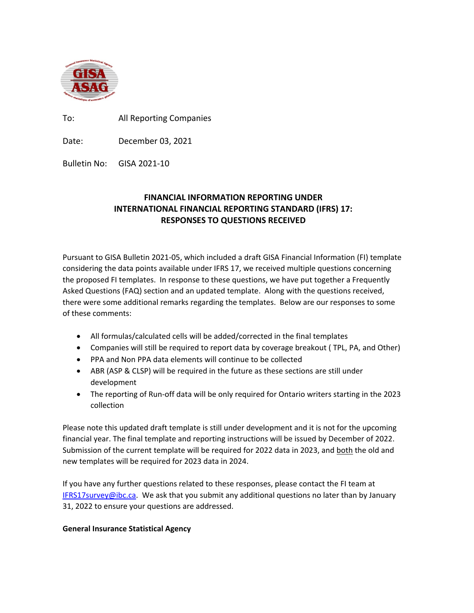

To: All Reporting Companies

Date: December 03, 2021

Bulletin No: GISA 2021-10

# **FINANCIAL INFORMATION REPORTING UNDER INTERNATIONAL FINANCIAL REPORTING STANDARD (IFRS) 17: RESPONSES TO QUESTIONS RECEIVED**

Pursuant to GISA Bulletin 2021-05, which included a draft GISA Financial Information (FI) template considering the data points available under IFRS 17, we received multiple questions concerning the proposed FI templates. In response to these questions, we have put together a Frequently Asked Questions (FAQ) section and an updated template. Along with the questions received, there were some additional remarks regarding the templates. Below are our responses to some of these comments:

- All formulas/calculated cells will be added/corrected in the final templates
- Companies will still be required to report data by coverage breakout ( TPL, PA, and Other)
- PPA and Non PPA data elements will continue to be collected
- ABR (ASP & CLSP) will be required in the future as these sections are still under development
- The reporting of Run-off data will be only required for Ontario writers starting in the 2023 collection

Please note this updated draft template is still under development and it is not for the upcoming financial year. The final template and reporting instructions will be issued by December of 2022. Submission of the current template will be required for 2022 data in 2023, and both the old and new templates will be required for 2023 data in 2024.

If you have any further questions related to these responses, please contact the FI team at **[IFRS17survey@ibc.ca.](mailto:IFRS17survey@ibc.caA)** We ask that you submit any additional questions no later than by January 31, 2022 to ensure your questions are addressed.

## **General Insurance Statistical Agency**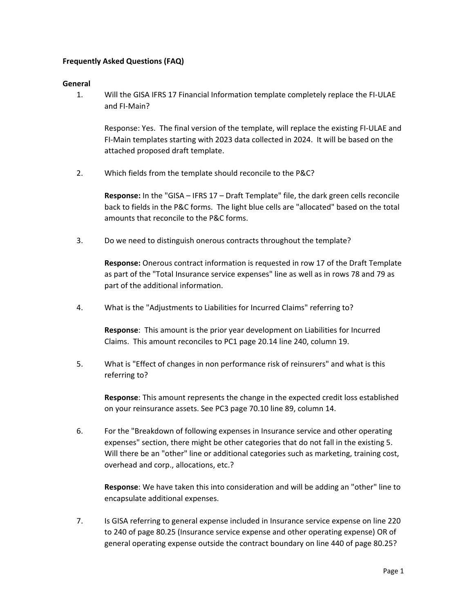## **Frequently Asked Questions (FAQ)**

#### **General**

1. Will the GISA IFRS 17 Financial Information template completely replace the FI-ULAE and FI-Main?

Response: Yes. The final version of the template, will replace the existing FI-ULAE and FI-Main templates starting with 2023 data collected in 2024. It will be based on the attached proposed draft template.

2. Which fields from the template should reconcile to the P&C?

**Response:** In the "GISA – IFRS 17 – Draft Template" file, the dark green cells reconcile back to fields in the P&C forms. The light blue cells are "allocated" based on the total amounts that reconcile to the P&C forms.

3. Do we need to distinguish onerous contracts throughout the template?

**Response:** Onerous contract information is requested in row 17 of the Draft Template as part of the "Total Insurance service expenses" line as well as in rows 78 and 79 as part of the additional information.

4. What is the "Adjustments to Liabilities for Incurred Claims" referring to?

**Response**: This amount is the prior year development on Liabilities for Incurred Claims. This amount reconciles to PC1 page 20.14 line 240, column 19.

5. What is "Effect of changes in non performance risk of reinsurers" and what is this referring to?

**Response**: This amount represents the change in the expected credit loss established on your reinsurance assets. See PC3 page 70.10 line 89, column 14.

6. For the "Breakdown of following expenses in Insurance service and other operating expenses" section, there might be other categories that do not fall in the existing 5. Will there be an "other" line or additional categories such as marketing, training cost, overhead and corp., allocations, etc.?

**Response**: We have taken this into consideration and will be adding an "other" line to encapsulate additional expenses.

7. Is GISA referring to general expense included in Insurance service expense on line 220 to 240 of page 80.25 (Insurance service expense and other operating expense) OR of general operating expense outside the contract boundary on line 440 of page 80.25?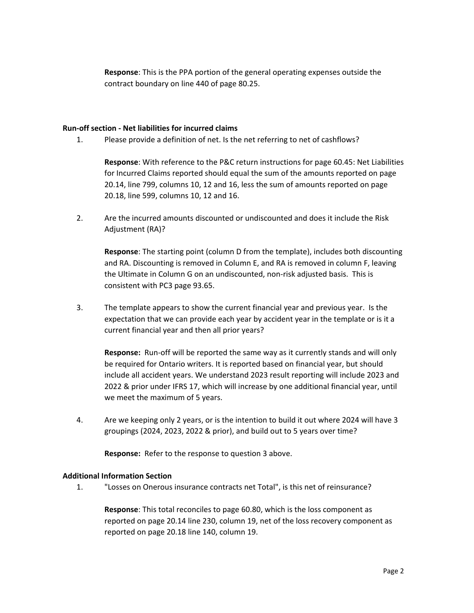**Response**: This is the PPA portion of the general operating expenses outside the contract boundary on line 440 of page 80.25.

#### **Run-off section - Net liabilities for incurred claims**

1. Please provide a definition of net. Is the net referring to net of cashflows?

**Response**: With reference to the P&C return instructions for page 60.45: Net Liabilities for Incurred Claims reported should equal the sum of the amounts reported on page 20.14, line 799, columns 10, 12 and 16, less the sum of amounts reported on page 20.18, line 599, columns 10, 12 and 16.

2. Are the incurred amounts discounted or undiscounted and does it include the Risk Adjustment (RA)?

**Response**: The starting point (column D from the template), includes both discounting and RA. Discounting is removed in Column E, and RA is removed in column F, leaving the Ultimate in Column G on an undiscounted, non-risk adjusted basis. This is consistent with PC3 page 93.65.

3. The template appears to show the current financial year and previous year. Is the expectation that we can provide each year by accident year in the template or is it a current financial year and then all prior years?

**Response:** Run-off will be reported the same way as it currently stands and will only be required for Ontario writers. It is reported based on financial year, but should include all accident years. We understand 2023 result reporting will include 2023 and 2022 & prior under IFRS 17, which will increase by one additional financial year, until we meet the maximum of 5 years.

4. Are we keeping only 2 years, or is the intention to build it out where 2024 will have 3 groupings (2024, 2023, 2022 & prior), and build out to 5 years over time?

**Response:** Refer to the response to question 3 above.

#### **Additional Information Section**

1. "Losses on Onerous insurance contracts net Total", is this net of reinsurance?

**Response**: This total reconciles to page 60.80, which is the loss component as reported on page 20.14 line 230, column 19, net of the loss recovery component as reported on page 20.18 line 140, column 19.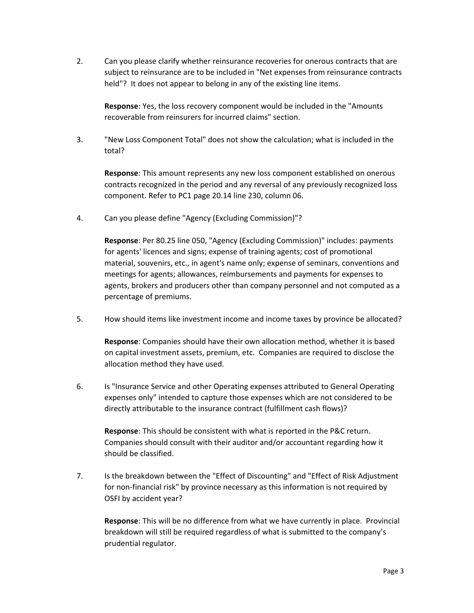2. Can you please clarify whether reinsurance recoveries for onerous contracts that are subject to reinsurance are to be included in "Net expenses from reinsurance contracts held"? It does not appear to belong in any of the existing line items.

**Response**: Yes, the loss recovery component would be included in the "Amounts recoverable from reinsurers for incurred claims" section.

3. "New Loss Component Total" does not show the calculation; what is included in the total?

**Response**: This amount represents any new loss component established on onerous contracts recognized in the period and any reversal of any previously recognized loss component. Refer to PC1 page 20.14 line 230, column 06.

4. Can you please define "Agency (Excluding Commission)"?

**Response**: Per 80.25 line 050, "Agency (Excluding Commission)" includes: payments for agents' licences and signs; expense of training agents; cost of promotional material, souvenirs, etc., in agent's name only; expense of seminars, conventions and meetings for agents; allowances, reimbursements and payments for expenses to agents, brokers and producers other than company personnel and not computed as a percentage of premiums.

5. How should items like investment income and income taxes by province be allocated?

**Response**: Companies should have their own allocation method, whether it is based on capital investment assets, premium, etc. Companies are required to disclose the allocation method they have used.

6. Is "Insurance Service and other Operating expenses attributed to General Operating expenses only" intended to capture those expenses which are not considered to be directly attributable to the insurance contract (fulfillment cash flows)?

**Response**: This should be consistent with what is reported in the P&C return. Companies should consult with their auditor and/or accountant regarding how it should be classified.

7. Is the breakdown between the "Effect of Discounting" and "Effect of Risk Adjustment for non-financial risk" by province necessary as this information is not required by OSFI by accident year?

**Response**: This will be no difference from what we have currently in place. Provincial breakdown will still be required regardless of what is submitted to the company's prudential regulator.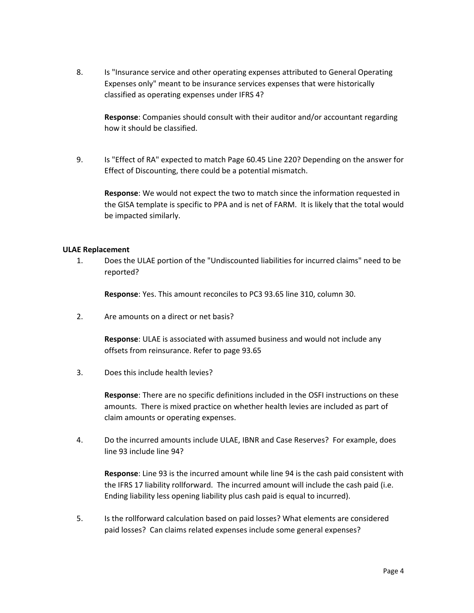8. Is "Insurance service and other operating expenses attributed to General Operating Expenses only" meant to be insurance services expenses that were historically classified as operating expenses under IFRS 4?

**Response**: Companies should consult with their auditor and/or accountant regarding how it should be classified.

9. Is "Effect of RA" expected to match Page 60.45 Line 220? Depending on the answer for Effect of Discounting, there could be a potential mismatch.

**Response**: We would not expect the two to match since the information requested in the GISA template is specific to PPA and is net of FARM. It is likely that the total would be impacted similarly.

## **ULAE Replacement**

1. Does the ULAE portion of the "Undiscounted liabilities for incurred claims" need to be reported?

**Response**: Yes. This amount reconciles to PC3 93.65 line 310, column 30.

2. Are amounts on a direct or net basis?

**Response**: ULAE is associated with assumed business and would not include any offsets from reinsurance. Refer to page 93.65

3. Does this include health levies?

**Response**: There are no specific definitions included in the OSFI instructions on these amounts. There is mixed practice on whether health levies are included as part of claim amounts or operating expenses.

4. Do the incurred amounts include ULAE, IBNR and Case Reserves? For example, does line 93 include line 94?

**Response**: Line 93 is the incurred amount while line 94 is the cash paid consistent with the IFRS 17 liability rollforward. The incurred amount will include the cash paid (i.e. Ending liability less opening liability plus cash paid is equal to incurred).

5. Is the rollforward calculation based on paid losses? What elements are considered paid losses? Can claims related expenses include some general expenses?